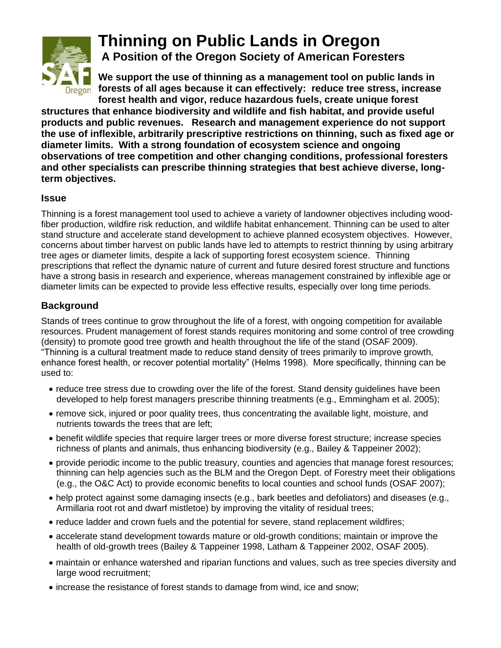

## **Thinning on Public Lands in Oregon**

**A Position of the Oregon Society of American Foresters**

**We support the use of thinning as a management tool on public lands in forests of all ages because it can effectively: reduce tree stress, increase forest health and vigor, reduce hazardous fuels, create unique forest** 

**structures that enhance biodiversity and wildlife and fish habitat, and provide useful products and public revenues. Research and management experience do not support the use of inflexible, arbitrarily prescriptive restrictions on thinning, such as fixed age or diameter limits. With a strong foundation of ecosystem science and ongoing observations of tree competition and other changing conditions, professional foresters and other specialists can prescribe thinning strategies that best achieve diverse, longterm objectives.**

## **Issue**

Thinning is a forest management tool used to achieve a variety of landowner objectives including woodfiber production, wildfire risk reduction, and wildlife habitat enhancement. Thinning can be used to alter stand structure and accelerate stand development to achieve planned ecosystem objectives. However, concerns about timber harvest on public lands have led to attempts to restrict thinning by using arbitrary tree ages or diameter limits, despite a lack of supporting forest ecosystem science. Thinning prescriptions that reflect the dynamic nature of current and future desired forest structure and functions have a strong basis in research and experience, whereas management constrained by inflexible age or diameter limits can be expected to provide less effective results, especially over long time periods.

## **Background**

Stands of trees continue to grow throughout the life of a forest, with ongoing competition for available resources. Prudent management of forest stands requires monitoring and some control of tree crowding (density) to promote good tree growth and health throughout the life of the stand (OSAF 2009). "Thinning is a cultural treatment made to reduce stand density of trees primarily to improve growth, enhance forest health, or recover potential mortality" (Helms 1998). More specifically, thinning can be used to:

- reduce tree stress due to crowding over the life of the forest. Stand density guidelines have been developed to help forest managers prescribe thinning treatments (e.g., Emmingham et al. 2005);
- remove sick, injured or poor quality trees, thus concentrating the available light, moisture, and nutrients towards the trees that are left;
- benefit wildlife species that require larger trees or more diverse forest structure; increase species richness of plants and animals, thus enhancing biodiversity (e.g., Bailey & Tappeiner 2002);
- provide periodic income to the public treasury, counties and agencies that manage forest resources; thinning can help agencies such as the BLM and the Oregon Dept. of Forestry meet their obligations (e.g., the O&C Act) to provide economic benefits to local counties and school funds (OSAF 2007);
- help protect against some damaging insects (e.g., bark beetles and defoliators) and diseases (e.g., Armillaria root rot and dwarf mistletoe) by improving the vitality of residual trees;
- reduce ladder and crown fuels and the potential for severe, stand replacement wildfires;
- accelerate stand development towards mature or old-growth conditions; maintain or improve the health of old-growth trees (Bailey & Tappeiner 1998, Latham & Tappeiner 2002, OSAF 2005).
- maintain or enhance watershed and riparian functions and values, such as tree species diversity and large wood recruitment;
- increase the resistance of forest stands to damage from wind, ice and snow;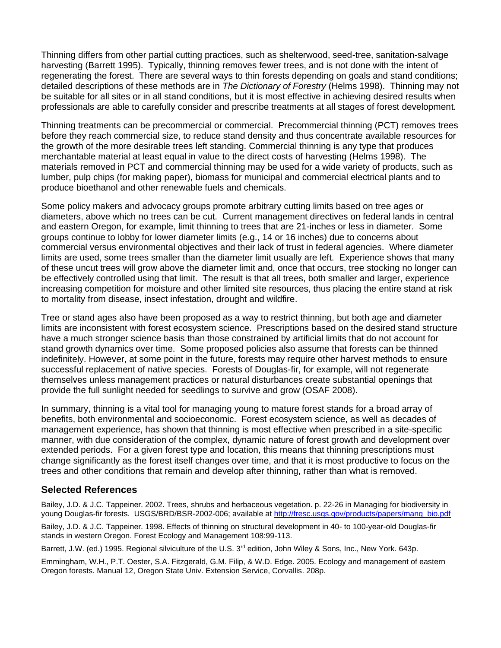Thinning differs from other partial cutting practices, such as shelterwood, seed-tree, sanitation-salvage harvesting (Barrett 1995). Typically, thinning removes fewer trees, and is not done with the intent of regenerating the forest. There are several ways to thin forests depending on goals and stand conditions; detailed descriptions of these methods are in *The Dictionary of Forestry* (Helms 1998). Thinning may not be suitable for all sites or in all stand conditions, but it is most effective in achieving desired results when professionals are able to carefully consider and prescribe treatments at all stages of forest development.

Thinning treatments can be precommercial or commercial. Precommercial thinning (PCT) removes trees before they reach commercial size, to reduce stand density and thus concentrate available resources for the growth of the more desirable trees left standing. Commercial thinning is any type that produces merchantable material at least equal in value to the direct costs of harvesting (Helms 1998). The materials removed in PCT and commercial thinning may be used for a wide variety of products, such as lumber, pulp chips (for making paper), biomass for municipal and commercial electrical plants and to produce bioethanol and other renewable fuels and chemicals.

Some policy makers and advocacy groups promote arbitrary cutting limits based on tree ages or diameters, above which no trees can be cut. Current management directives on federal lands in central and eastern Oregon, for example, limit thinning to trees that are 21-inches or less in diameter. Some groups continue to lobby for lower diameter limits (e.g., 14 or 16 inches) due to concerns about commercial versus environmental objectives and their lack of trust in federal agencies. Where diameter limits are used, some trees smaller than the diameter limit usually are left. Experience shows that many of these uncut trees will grow above the diameter limit and, once that occurs, tree stocking no longer can be effectively controlled using that limit. The result is that all trees, both smaller and larger, experience increasing competition for moisture and other limited site resources, thus placing the entire stand at risk to mortality from disease, insect infestation, drought and wildfire.

Tree or stand ages also have been proposed as a way to restrict thinning, but both age and diameter limits are inconsistent with forest ecosystem science. Prescriptions based on the desired stand structure have a much stronger science basis than those constrained by artificial limits that do not account for stand growth dynamics over time. Some proposed policies also assume that forests can be thinned indefinitely. However, at some point in the future, forests may require other harvest methods to ensure successful replacement of native species. Forests of Douglas-fir, for example, will not regenerate themselves unless management practices or natural disturbances create substantial openings that provide the full sunlight needed for seedlings to survive and grow (OSAF 2008).

In summary, thinning is a vital tool for managing young to mature forest stands for a broad array of benefits, both environmental and socioeconomic. Forest ecosystem science, as well as decades of management experience, has shown that thinning is most effective when prescribed in a site-specific manner, with due consideration of the complex, dynamic nature of forest growth and development over extended periods. For a given forest type and location, this means that thinning prescriptions must change significantly as the forest itself changes over time, and that it is most productive to focus on the trees and other conditions that remain and develop after thinning, rather than what is removed.

## **Selected References**

Bailey, J.D. & J.C. Tappeiner. 2002. Trees, shrubs and herbaceous vegetation. p. 22-26 in Managing for biodiversity in young Douglas-fir forests. USGS/BRD/BSR-2002-006; available at [http://fresc.usgs.gov/products/papers/mang\\_bio.pdf](http://fresc.usgs.gov/products/papers/mang_bio.pdf)

Bailey, J.D. & J.C. Tappeiner. 1998. Effects of thinning on structural development in 40- to 100-year-old Douglas-fir stands in western Oregon. Forest Ecology and Management 108:99-113.

Barrett, J.W. (ed.) 1995. Regional silviculture of the U.S. 3<sup>rd</sup> edition, John Wiley & Sons, Inc., New York. 643p.

Emmingham, W.H., P.T. Oester, S.A. Fitzgerald, G.M. Filip, & W.D. Edge. 2005. Ecology and management of eastern Oregon forests. Manual 12, Oregon State Univ. Extension Service, Corvallis. 208p.